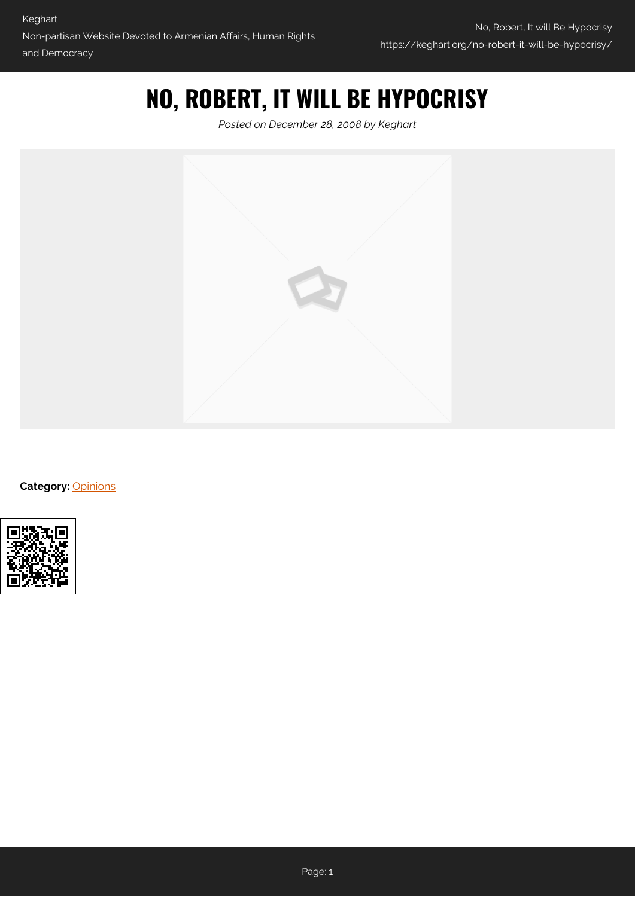## **NO, ROBERT, IT WILL BE HYPOCRISY**

*Posted on December 28, 2008 by Keghart*



**Category:** [Opinions](https://keghart.org/category/opinions/)

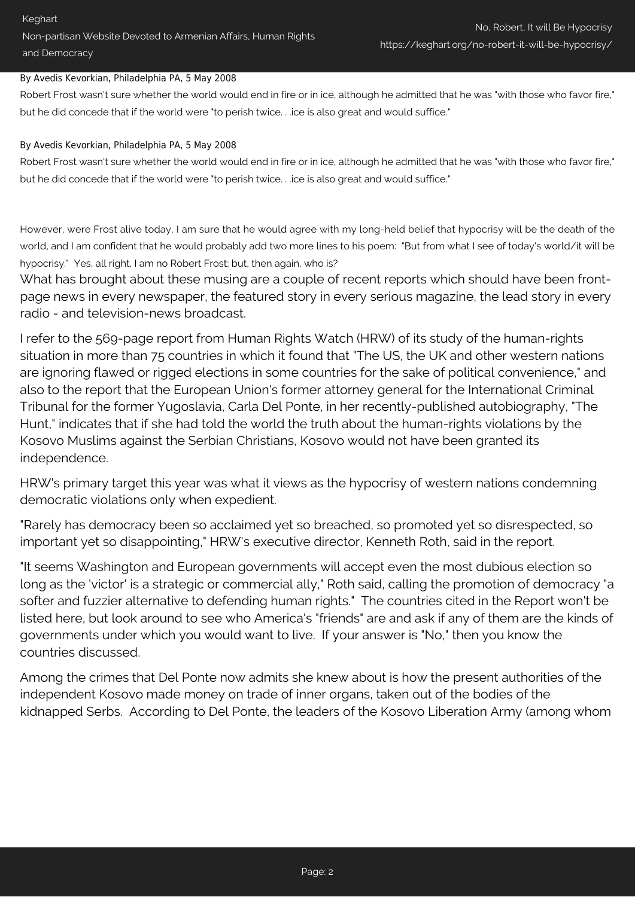## By Avedis Kevorkian, Philadelphia PA, 5 May 2008

Robert Frost wasn't sure whether the world would end in fire or in ice, although he admitted that he was "with those who favor fire," but he did concede that if the world were "to perish twice. . .ice is also great and would suffice."

## By Avedis Kevorkian, Philadelphia PA, 5 May 2008

Robert Frost wasn't sure whether the world would end in fire or in ice, although he admitted that he was "with those who favor fire," but he did concede that if the world were "to perish twice. . .ice is also great and would suffice."

However, were Frost alive today, I am sure that he would agree with my long-held belief that hypocrisy will be the death of the world, and I am confident that he would probably add two more lines to his poem: "But from what I see of today's world/it will be hypocrisy." Yes, all right, I am no Robert Frost; but, then again, who is?

What has brought about these musing are a couple of recent reports which should have been frontpage news in every newspaper, the featured story in every serious magazine, the lead story in every radio - and television-news broadcast.

I refer to the 569-page report from Human Rights Watch (HRW) of its study of the human-rights situation in more than 75 countries in which it found that "The US, the UK and other western nations are ignoring flawed or rigged elections in some countries for the sake of political convenience," and also to the report that the European Union's former attorney general for the International Criminal Tribunal for the former Yugoslavia, Carla Del Ponte, in her recently-published autobiography, "The Hunt," indicates that if she had told the world the truth about the human-rights violations by the Kosovo Muslims against the Serbian Christians, Kosovo would not have been granted its independence.

HRW's primary target this year was what it views as the hypocrisy of western nations condemning democratic violations only when expedient.

"Rarely has democracy been so acclaimed yet so breached, so promoted yet so disrespected, so important yet so disappointing," HRW's executive director, Kenneth Roth, said in the report.

"It seems Washington and European governments will accept even the most dubious election so long as the 'victor' is a strategic or commercial ally," Roth said, calling the promotion of democracy "a softer and fuzzier alternative to defending human rights." The countries cited in the Report won't be listed here, but look around to see who America's "friends" are and ask if any of them are the kinds of governments under which you would want to live. If your answer is "No," then you know the countries discussed.

Among the crimes that Del Ponte now admits she knew about is how the present authorities of the independent Kosovo made money on trade of inner organs, taken out of the bodies of the kidnapped Serbs. According to Del Ponte, the leaders of the Kosovo Liberation Army (among whom